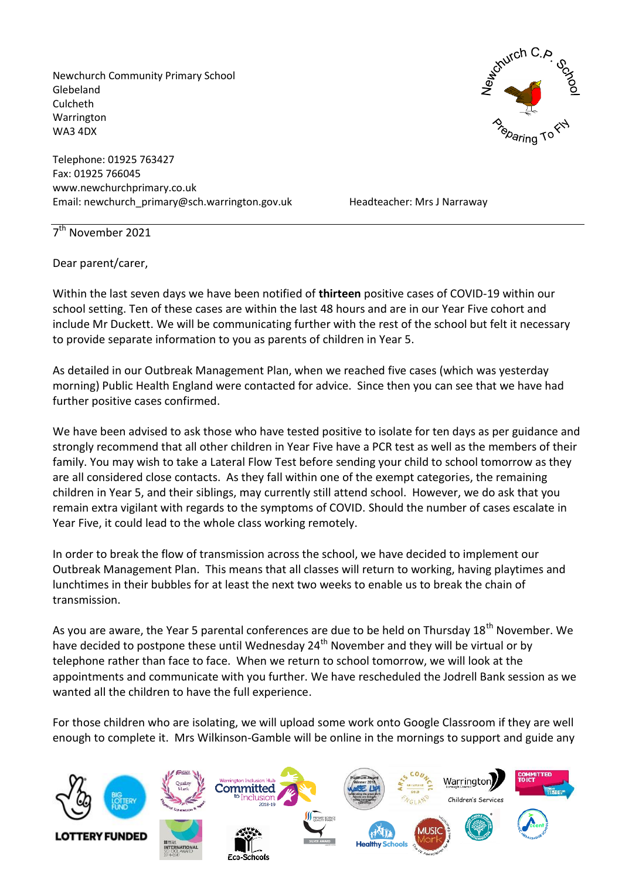Newchurch Community Primary School Glebeland Culcheth Warrington WA3 4DX

Telephone: 01925 763427 Fax: 01925 766045 www.newchurchprimary.co.uk Email: newchurch\_primary@sch.warrington.gov.uk Headteacher: Mrs J Narraway



7<sup>th</sup> November 2021

Dear parent/carer,

Within the last seven days we have been notified of **thirteen** positive cases of COVID-19 within our school setting. Ten of these cases are within the last 48 hours and are in our Year Five cohort and include Mr Duckett. We will be communicating further with the rest of the school but felt it necessary to provide separate information to you as parents of children in Year 5.

As detailed in our Outbreak Management Plan, when we reached five cases (which was yesterday morning) Public Health England were contacted for advice. Since then you can see that we have had further positive cases confirmed.

We have been advised to ask those who have tested positive to isolate for ten days as per guidance and strongly recommend that all other children in Year Five have a PCR test as well as the members of their family. You may wish to take a Lateral Flow Test before sending your child to school tomorrow as they are all considered close contacts. As they fall within one of the exempt categories, the remaining children in Year 5, and their siblings, may currently still attend school. However, we do ask that you remain extra vigilant with regards to the symptoms of COVID. Should the number of cases escalate in Year Five, it could lead to the whole class working remotely.

In order to break the flow of transmission across the school, we have decided to implement our Outbreak Management Plan. This means that all classes will return to working, having playtimes and lunchtimes in their bubbles for at least the next two weeks to enable us to break the chain of transmission.

As you are aware, the Year 5 parental conferences are due to be held on Thursday 18<sup>th</sup> November. We have decided to postpone these until Wednesday 24<sup>th</sup> November and they will be virtual or by telephone rather than face to face. When we return to school tomorrow, we will look at the appointments and communicate with you further. We have rescheduled the Jodrell Bank session as we wanted all the children to have the full experience.

For those children who are isolating, we will upload some work onto Google Classroom if they are well enough to complete it. Mrs Wilkinson-Gamble will be online in the mornings to support and guide any